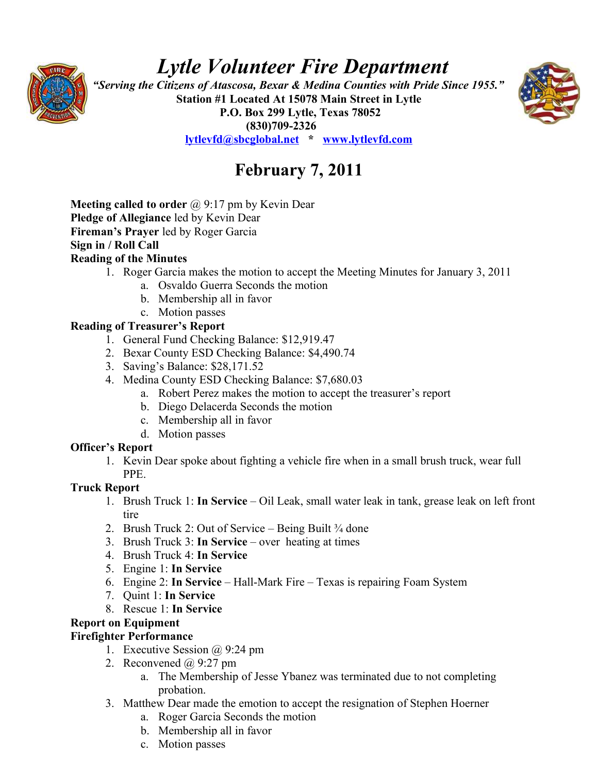# *Lytle Volunteer Fire Department*



 *"Serving the Citizens of Atascosa, Bexar & Medina Counties with Pride Since 1955."*  **Station #1 Located At 15078 Main Street in Lytle P.O. Box 299 Lytle, Texas 78052 (830)709-2326 [lytlevfd@sbcglobal.net](mailto:lytlevfd@sbcglobal.net) \* [www.lytlevfd.com](http://www.lytlevfd.com/)**



**February 7, 2011**

**Meeting called to order** @ 9:17 pm by Kevin Dear **Pledge of Allegiance** led by Kevin Dear **Fireman's Prayer** led by Roger Garcia **Sign in / Roll Call Reading of the Minutes**

- 1. Roger Garcia makes the motion to accept the Meeting Minutes for January 3, 2011
	- a. Osvaldo Guerra Seconds the motion
	- b. Membership all in favor
	- c. Motion passes

### **Reading of Treasurer's Report**

- 1. General Fund Checking Balance: \$12,919.47
- 2. Bexar County ESD Checking Balance: \$4,490.74
- 3. Saving's Balance: \$28,171.52
- 4. Medina County ESD Checking Balance: \$7,680.03
	- a. Robert Perez makes the motion to accept the treasurer's report
	- b. Diego Delacerda Seconds the motion
	- c. Membership all in favor
	- d. Motion passes

# **Officer's Report**

1. Kevin Dear spoke about fighting a vehicle fire when in a small brush truck, wear full PPE.

# **Truck Report**

- 1. Brush Truck 1: **In Service**  Oil Leak, small water leak in tank, grease leak on left front tire
- 2. Brush Truck 2: Out of Service Being Built  $\frac{3}{4}$  done
- 3. Brush Truck 3: **In Service**  over heating at times
- 4. Brush Truck 4: **In Service**
- 5. Engine 1: **In Service**
- 6. Engine 2: **In Service** Hall-Mark Fire Texas is repairing Foam System
- 7. Quint 1: **In Service**
- 8. Rescue 1: **In Service**

# **Report on Equipment**

# **Firefighter Performance**

- 1. Executive Session  $\omega$  9:24 pm
- 2. Reconvened  $\omega$  9:27 pm
	- a. The Membership of Jesse Ybanez was terminated due to not completing probation.
- 3. Matthew Dear made the emotion to accept the resignation of Stephen Hoerner
	- a. Roger Garcia Seconds the motion
	- b. Membership all in favor
	- c. Motion passes